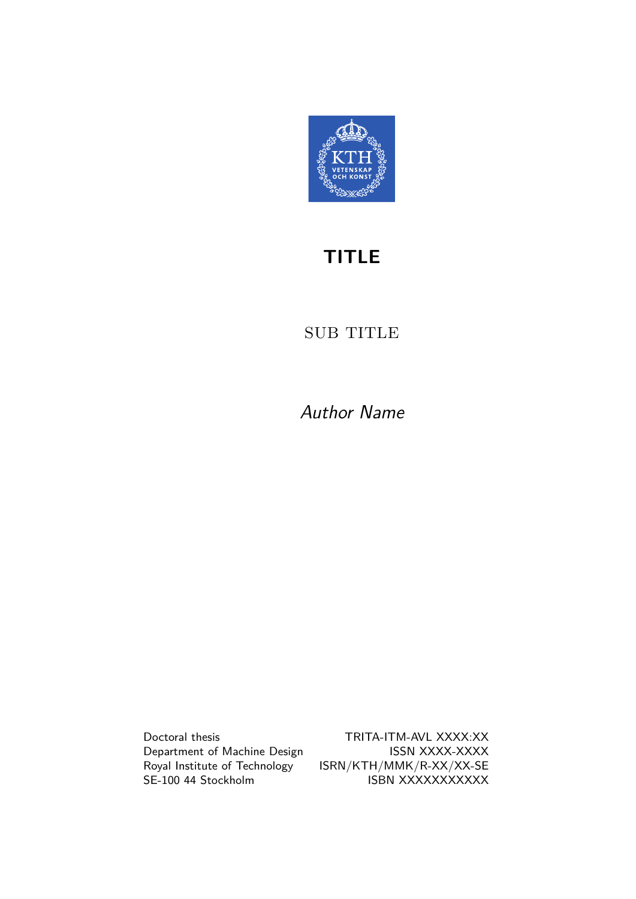

## **TITLE**

## SUB TITLE

Author Name

Department of Machine Design<br>Royal Institute of Technology

Doctoral thesis **TRITA-ITM-AVL XXXX:XX**<br>Department of Machine Design **ISSN XXXX-XXXX** ISRN/KTH/MMK/R-XX/XX-SE SE-100 44 Stockholm ISBN XXXXXXXXXXX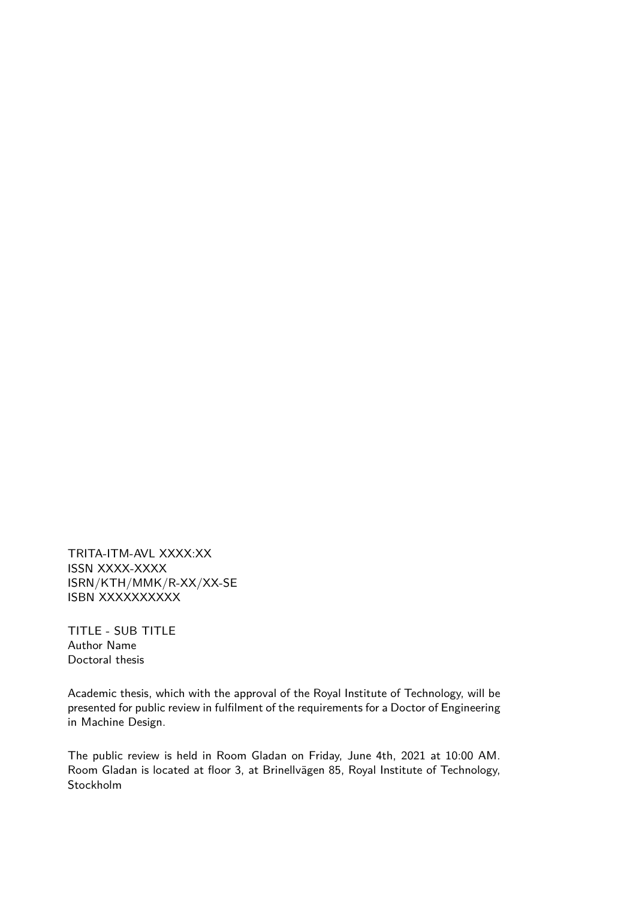TRITA-ITM-AVL XXXX:XX ISSN XXXX-XXXX ISRN/KTH/MMK/R-XX/XX-SE ISBN XXXXXXXXXX

TITLE - SUB TITLE Author Name Doctoral thesis

Academic thesis, which with the approval of the Royal Institute of Technology, will be presented for public review in fulfilment of the requirements for a Doctor of Engineering in Machine Design.

The public review is held in Room Gladan on Friday, June 4th, 2021 at 10:00 AM. Room Gladan is located at floor 3, at Brinellvägen 85, Royal Institute of Technology, Stockholm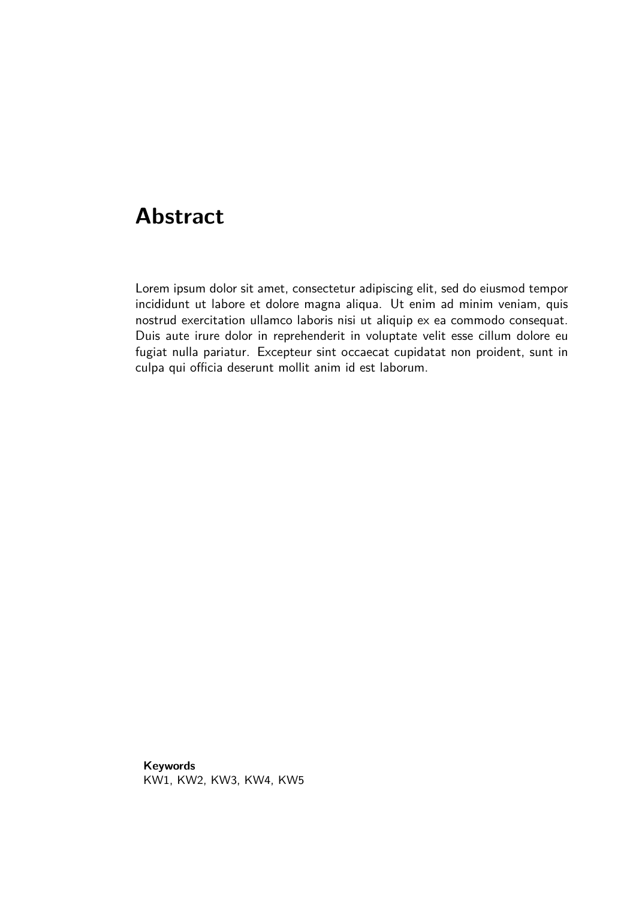## **Abstract**

Lorem ipsum dolor sit amet, consectetur adipiscing elit, sed do eiusmod tempor incididunt ut labore et dolore magna aliqua. Ut enim ad minim veniam, quis nostrud exercitation ullamco laboris nisi ut aliquip ex ea commodo consequat. Duis aute irure dolor in reprehenderit in voluptate velit esse cillum dolore eu fugiat nulla pariatur. Excepteur sint occaecat cupidatat non proident, sunt in culpa qui officia deserunt mollit anim id est laborum.

**Keywords** KW1, KW2, KW3, KW4, KW5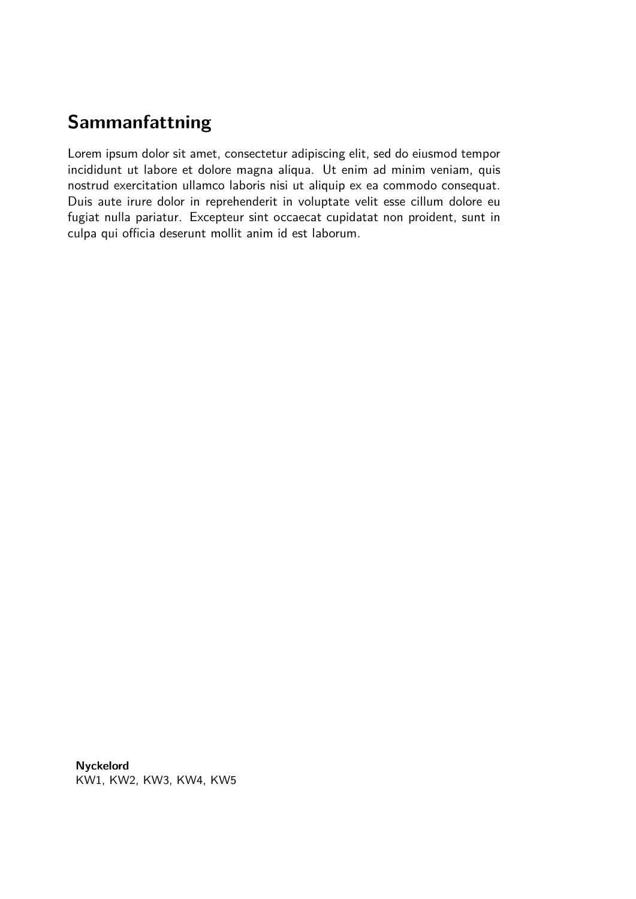## **Sammanfattning**

Lorem ipsum dolor sit amet, consectetur adipiscing elit, sed do eiusmod tempor incididunt ut labore et dolore magna aliqua. Ut enim ad minim veniam, quis nostrud exercitation ullamco laboris nisi ut aliquip ex ea commodo consequat. Duis aute irure dolor in reprehenderit in voluptate velit esse cillum dolore eu fugiat nulla pariatur. Excepteur sint occaecat cupidatat non proident, sunt in culpa qui officia deserunt mollit anim id est laborum.

**Nyckelord** KW1, KW2, KW3, KW4, KW5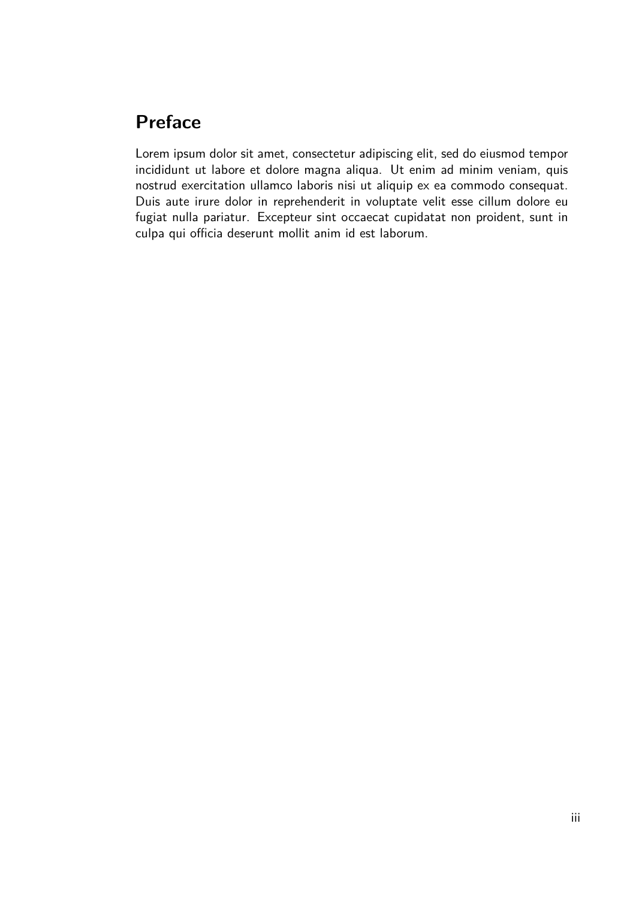## **Preface**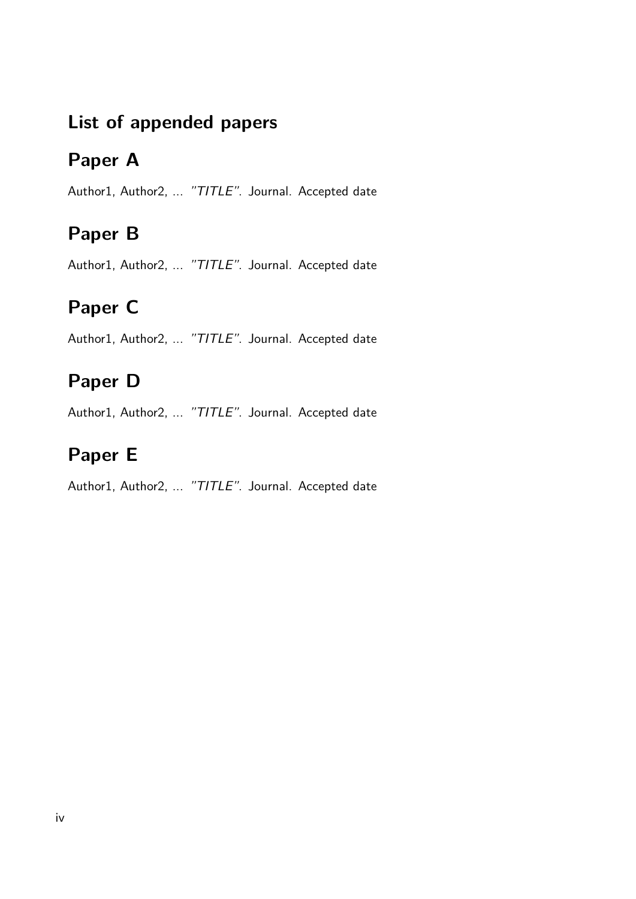### **List of appended papers**

### **Paper A**

Author1, Author2, ... "TITLE". Journal. Accepted date

### **Paper B**

Author1, Author2, ... "TITLE". Journal. Accepted date

## **Paper C**

Author1, Author2, ... "TITLE". Journal. Accepted date

### **Paper D**

Author1, Author2, ... "TITLE". Journal. Accepted date

## **Paper E**

Author1, Author2, ... "TITLE". Journal. Accepted date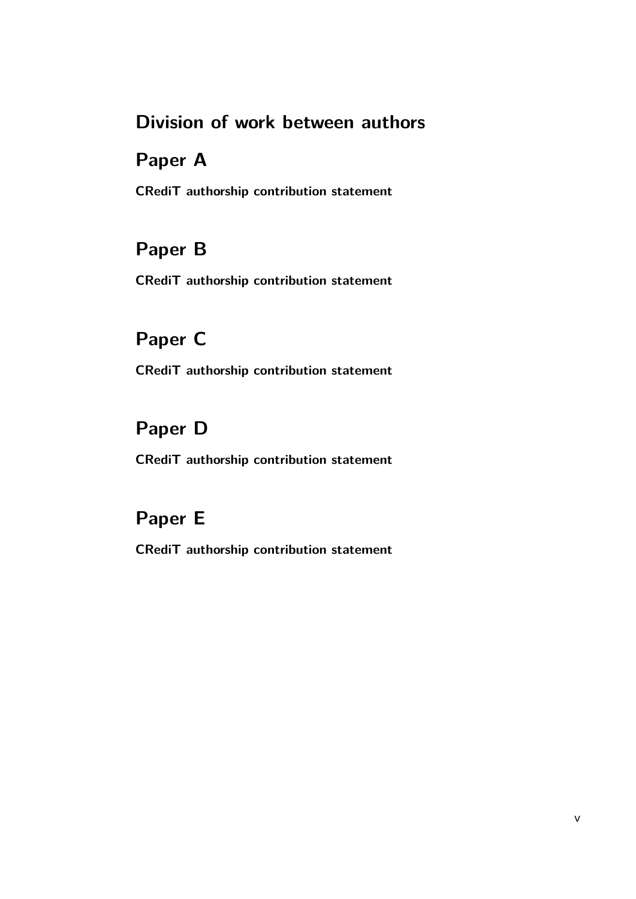## **Division of work between authors**

### **Paper A**

**CRediT authorship contribution statement**

## **Paper B**

**CRediT authorship contribution statement**

## **Paper C**

**CRediT authorship contribution statement**

## **Paper D**

**CRediT authorship contribution statement**

## **Paper E**

**CRediT authorship contribution statement**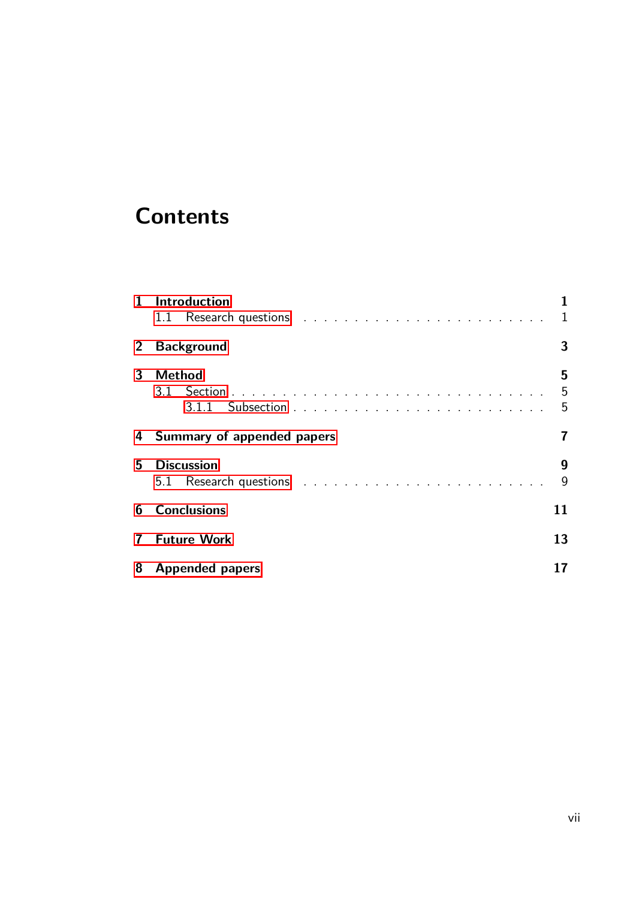# **Contents**

| 1.             | Introduction<br>1.1                                                                                                                                                                                                                                 |             |
|----------------|-----------------------------------------------------------------------------------------------------------------------------------------------------------------------------------------------------------------------------------------------------|-------------|
| $\overline{2}$ | <b>Background</b>                                                                                                                                                                                                                                   | 3           |
| 3              | Method                                                                                                                                                                                                                                              | 5<br>5<br>5 |
| 4              | Summary of appended papers                                                                                                                                                                                                                          |             |
| 5              | <b>Discussion</b><br>5.1 Research questions resources and service in the service of the service in the service in the service in the service of the service in the service of the service in the service of the service of the service of the servi | 9<br>9      |
| 6              | <b>Conclusions</b>                                                                                                                                                                                                                                  | 11          |
|                | <b>Future Work</b>                                                                                                                                                                                                                                  | 13          |
| 8              | <b>Appended papers</b>                                                                                                                                                                                                                              |             |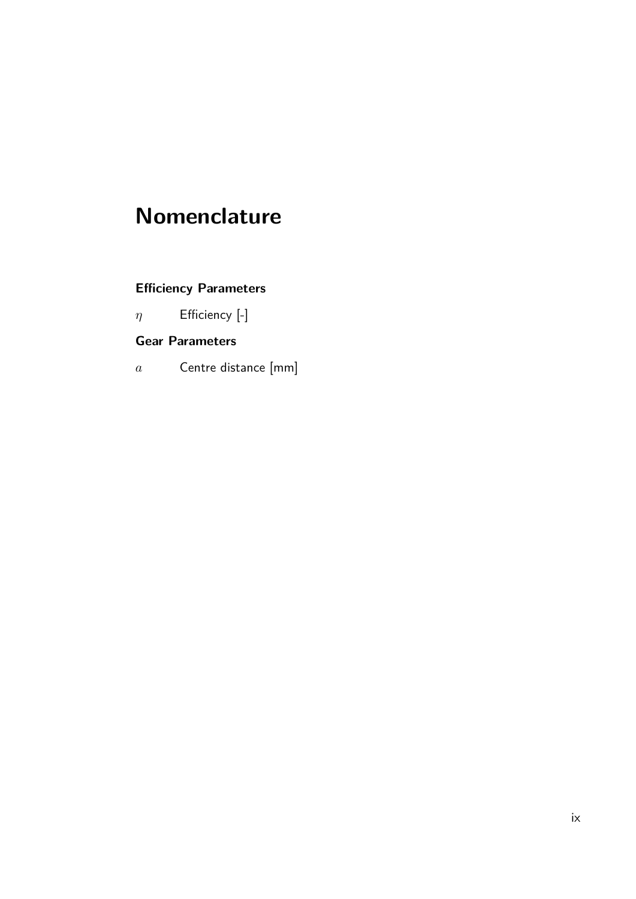# **Nomenclature**

#### **Efficiency Parameters**

Efficiency [-]  $\eta$ 

#### **Gear Parameters**

Centre distance [mm]  $\overline{a}$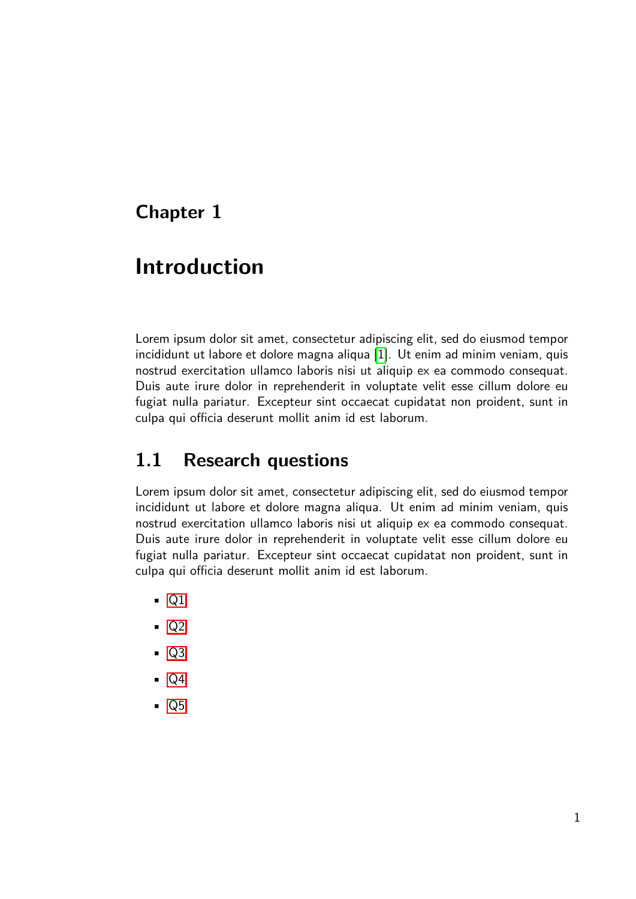## <span id="page-12-0"></span>**Introduction**

Lorem ipsum dolor sit amet, consectetur adipiscing elit, sed do eiusmod tempor incididunt ut labore et dolore magna aliqua [\[1\]](#page-26-0). Ut enim ad minim veniam, quis nostrud exercitation ullamco laboris nisi ut aliquip ex ea commodo consequat. Duis aute irure dolor in reprehenderit in voluptate velit esse cillum dolore eu fugiat nulla pariatur. Excepteur sint occaecat cupidatat non proident, sunt in culpa qui officia deserunt mollit anim id est laborum.

### <span id="page-12-1"></span>**1.1 Research questions**

- [Q1](#page-20-2)
- [Q2](#page-20-3)
- [Q3](#page-20-4)
- [Q4](#page-21-0)
- [Q5](#page-21-1)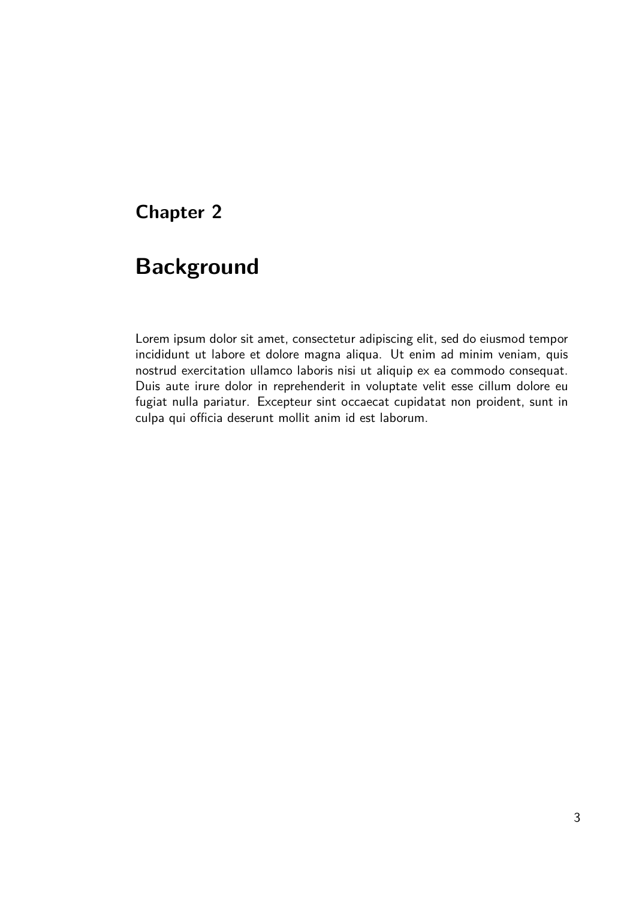## <span id="page-14-0"></span>**Background**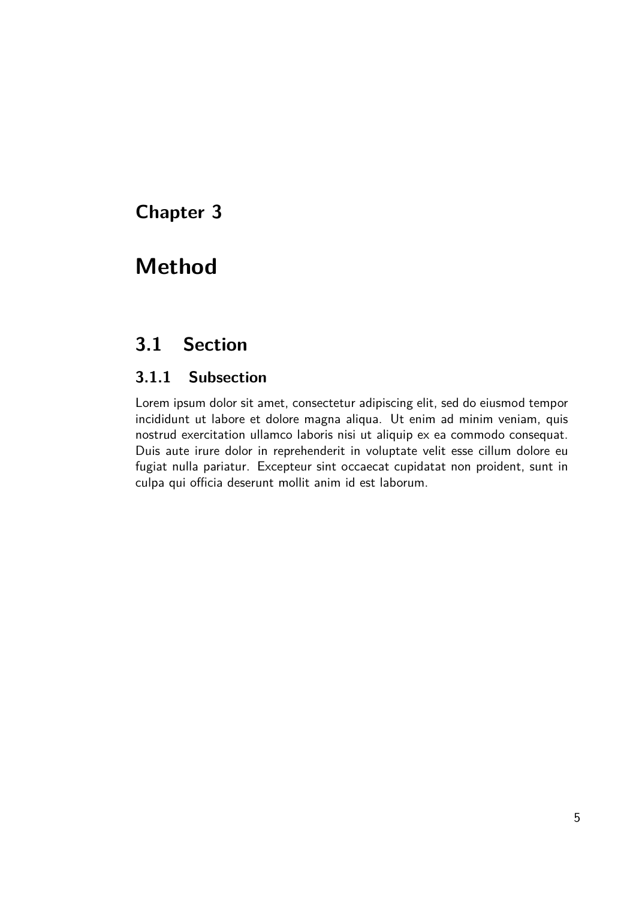## <span id="page-16-0"></span>**Method**

## <span id="page-16-1"></span>**3.1 Section**

#### <span id="page-16-2"></span>**3.1.1 Subsection**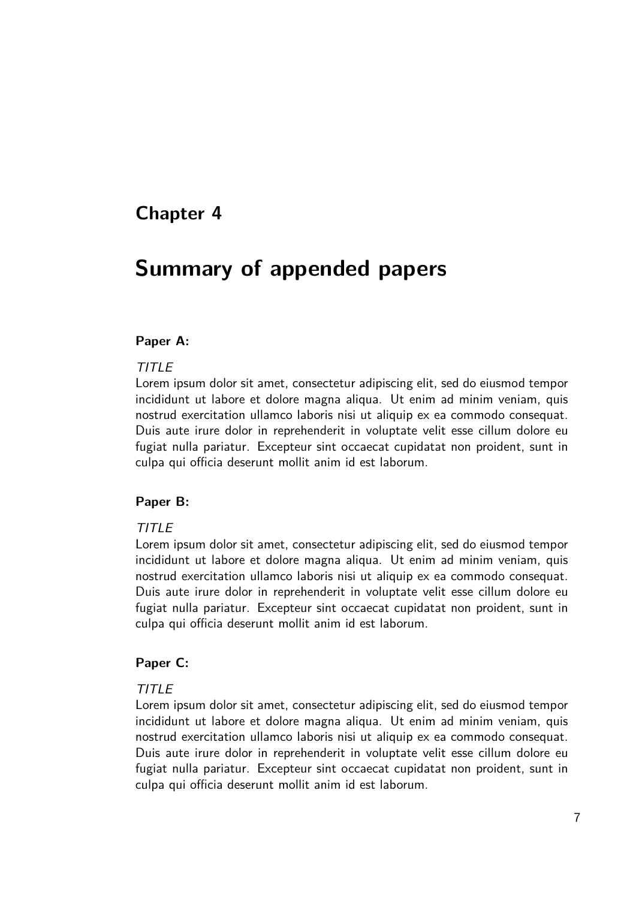## <span id="page-18-0"></span>**Summary of appended papers**

#### **Paper A:**

#### TITLE

Lorem ipsum dolor sit amet, consectetur adipiscing elit, sed do eiusmod tempor incididunt ut labore et dolore magna aliqua. Ut enim ad minim veniam, quis nostrud exercitation ullamco laboris nisi ut aliquip ex ea commodo consequat. Duis aute irure dolor in reprehenderit in voluptate velit esse cillum dolore eu fugiat nulla pariatur. Excepteur sint occaecat cupidatat non proident, sunt in culpa qui officia deserunt mollit anim id est laborum.

#### **Paper B:**

#### **TITLE**

Lorem ipsum dolor sit amet, consectetur adipiscing elit, sed do eiusmod tempor incididunt ut labore et dolore magna aliqua. Ut enim ad minim veniam, quis nostrud exercitation ullamco laboris nisi ut aliquip ex ea commodo consequat. Duis aute irure dolor in reprehenderit in voluptate velit esse cillum dolore eu fugiat nulla pariatur. Excepteur sint occaecat cupidatat non proident, sunt in culpa qui officia deserunt mollit anim id est laborum.

#### **Paper C:**

#### TITI<sub>F</sub>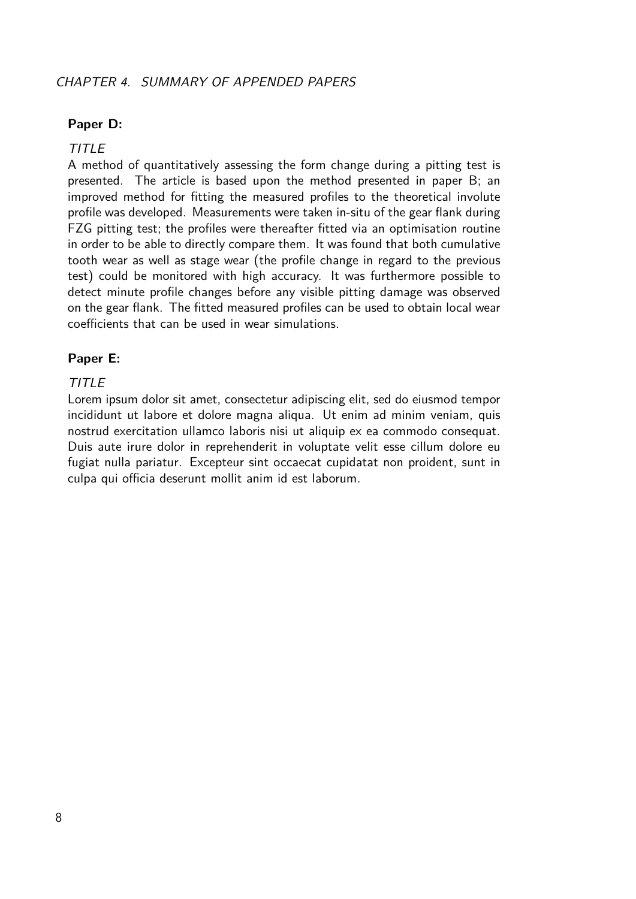#### CHAPTER 4. SUMMARY OF APPENDED PAPERS

#### **Paper D:**

#### TITLE

A method of quantitatively assessing the form change during a pitting test is presented. The article is based upon the method presented in paper B; an improved method for fitting the measured profiles to the theoretical involute profile was developed. Measurements were taken in-situ of the gear flank during FZG pitting test; the profiles were thereafter fitted via an optimisation routine in order to be able to directly compare them. It was found that both cumulative tooth wear as well as stage wear (the profile change in regard to the previous test) could be monitored with high accuracy. It was furthermore possible to detect minute profile changes before any visible pitting damage was observed on the gear flank. The fitted measured profiles can be used to obtain local wear coefficients that can be used in wear simulations.

#### **Paper E:**

#### TITLE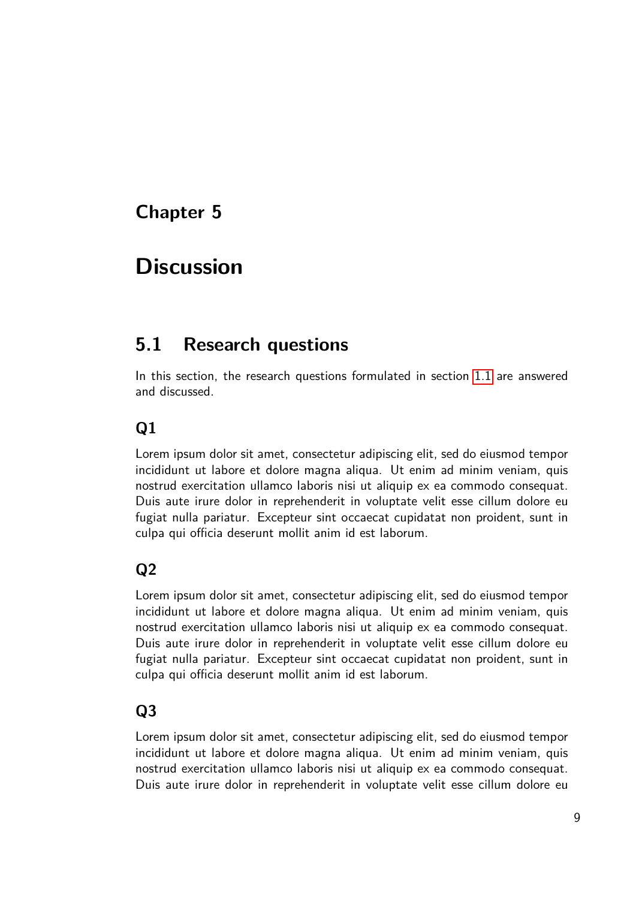## <span id="page-20-0"></span>**Discussion**

### <span id="page-20-1"></span>**5.1 Research questions**

In this section, the research questions formulated in section [1.1](#page-12-1) are answered and discussed.

### <span id="page-20-2"></span>**Q1**

Lorem ipsum dolor sit amet, consectetur adipiscing elit, sed do eiusmod tempor incididunt ut labore et dolore magna aliqua. Ut enim ad minim veniam, quis nostrud exercitation ullamco laboris nisi ut aliquip ex ea commodo consequat. Duis aute irure dolor in reprehenderit in voluptate velit esse cillum dolore eu fugiat nulla pariatur. Excepteur sint occaecat cupidatat non proident, sunt in culpa qui officia deserunt mollit anim id est laborum.

### <span id="page-20-3"></span>**Q2**

Lorem ipsum dolor sit amet, consectetur adipiscing elit, sed do eiusmod tempor incididunt ut labore et dolore magna aliqua. Ut enim ad minim veniam, quis nostrud exercitation ullamco laboris nisi ut aliquip ex ea commodo consequat. Duis aute irure dolor in reprehenderit in voluptate velit esse cillum dolore eu fugiat nulla pariatur. Excepteur sint occaecat cupidatat non proident, sunt in culpa qui officia deserunt mollit anim id est laborum.

### <span id="page-20-4"></span>**Q3**

Lorem ipsum dolor sit amet, consectetur adipiscing elit, sed do eiusmod tempor incididunt ut labore et dolore magna aliqua. Ut enim ad minim veniam, quis nostrud exercitation ullamco laboris nisi ut aliquip ex ea commodo consequat. Duis aute irure dolor in reprehenderit in voluptate velit esse cillum dolore eu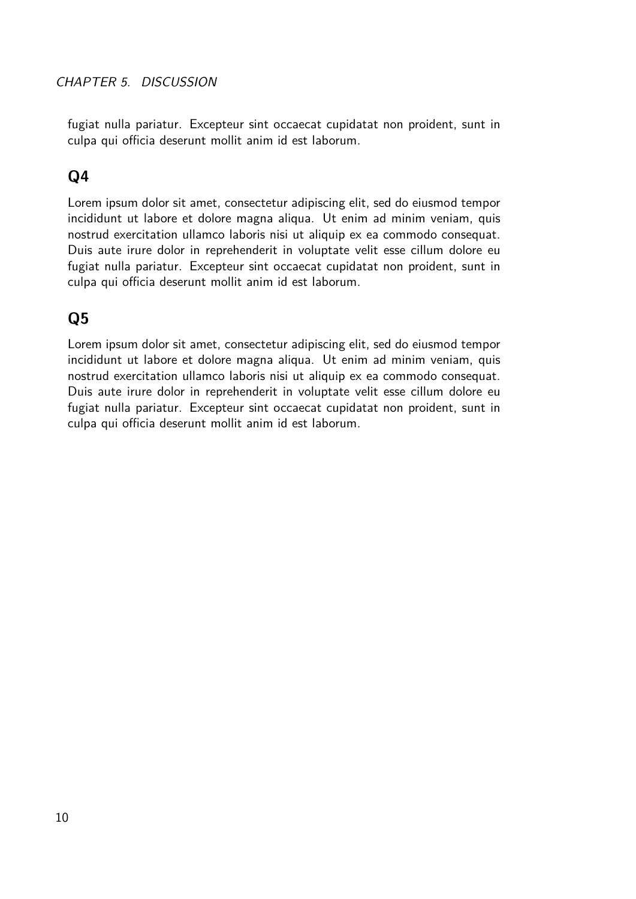#### CHAPTER 5. DISCUSSION

fugiat nulla pariatur. Excepteur sint occaecat cupidatat non proident, sunt in culpa qui officia deserunt mollit anim id est laborum.

## <span id="page-21-0"></span>**Q4**

Lorem ipsum dolor sit amet, consectetur adipiscing elit, sed do eiusmod tempor incididunt ut labore et dolore magna aliqua. Ut enim ad minim veniam, quis nostrud exercitation ullamco laboris nisi ut aliquip ex ea commodo consequat. Duis aute irure dolor in reprehenderit in voluptate velit esse cillum dolore eu fugiat nulla pariatur. Excepteur sint occaecat cupidatat non proident, sunt in culpa qui officia deserunt mollit anim id est laborum.

### <span id="page-21-1"></span>**Q5**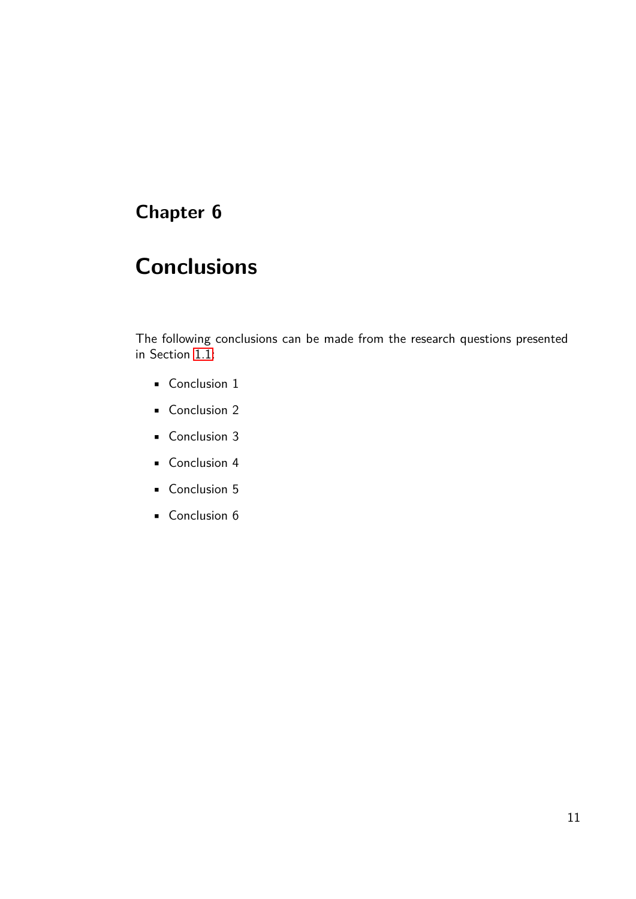## <span id="page-22-0"></span>**Conclusions**

The following conclusions can be made from the research questions presented in Section [1.1:](#page-12-1)

- Conclusion 1
- Conclusion 2
- Conclusion 3
- Conclusion 4
- Conclusion 5
- Conclusion 6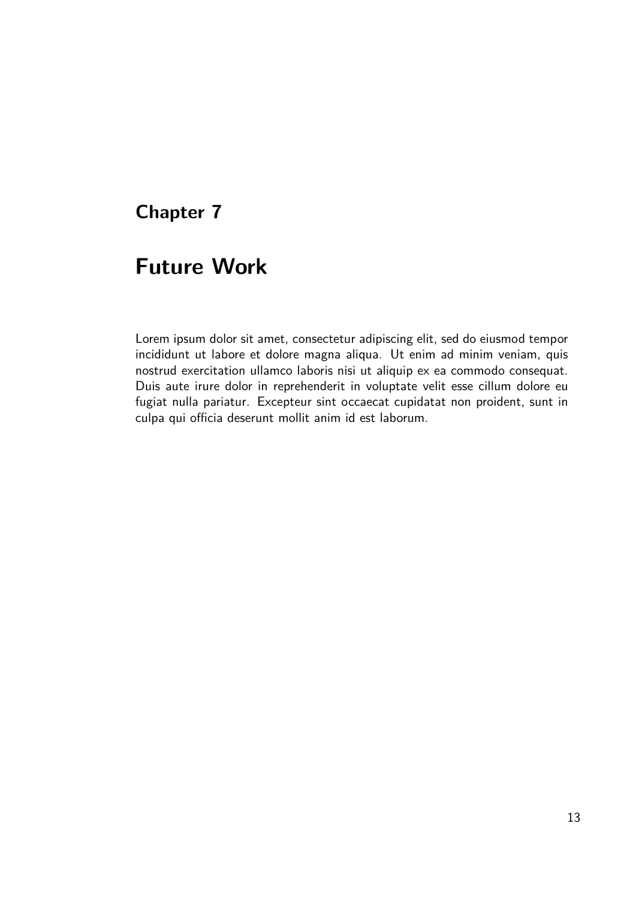## <span id="page-24-0"></span>**Future Work**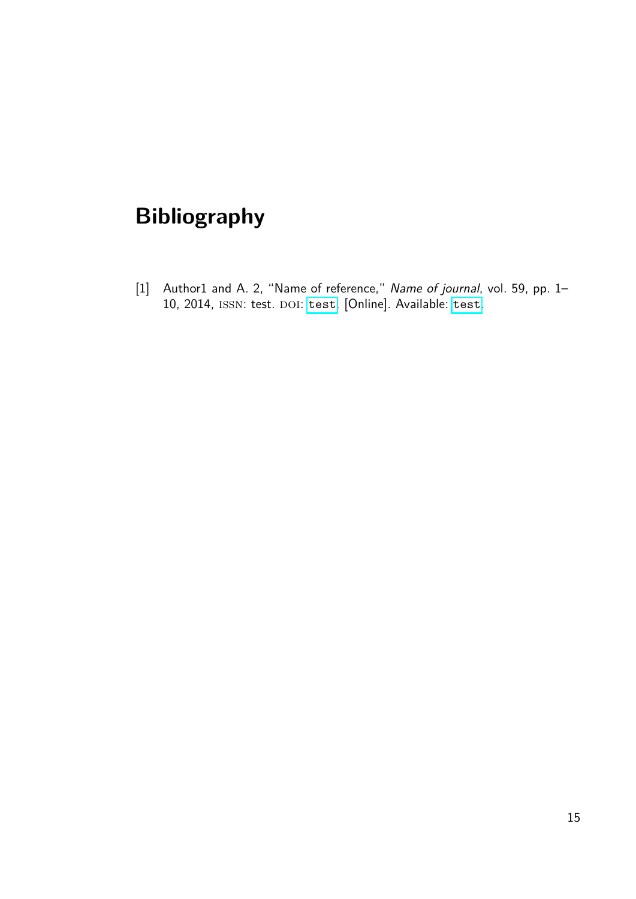# **Bibliography**

<span id="page-26-0"></span>[1] Author1 and A. 2, "Name of reference," Name of journal, vol. 59, pp. 110, 2014, ISSN: <test>. DOI: test. [Online]. Available: test.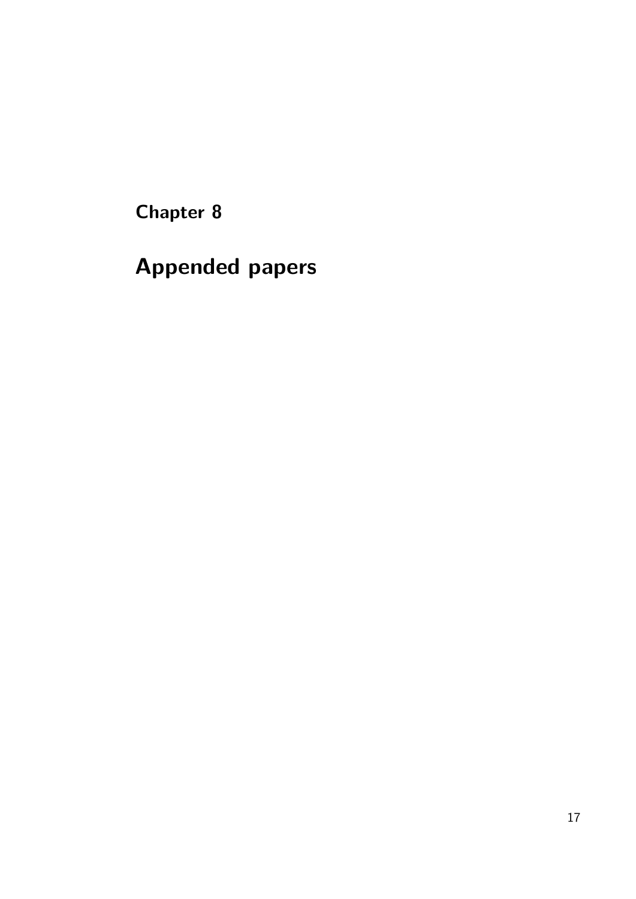<span id="page-28-0"></span>**Appended papers**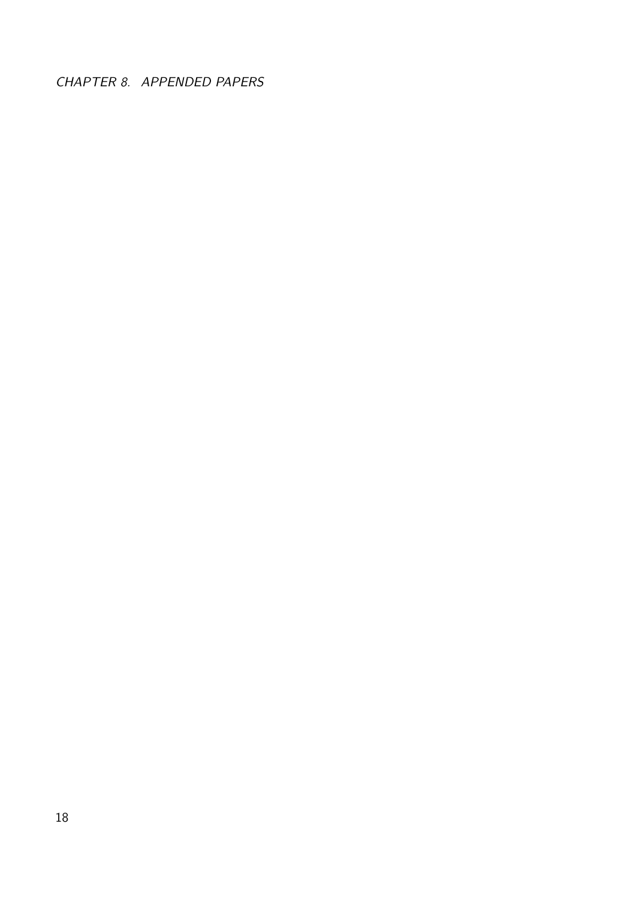CHAPTER 8. APPENDED PAPERS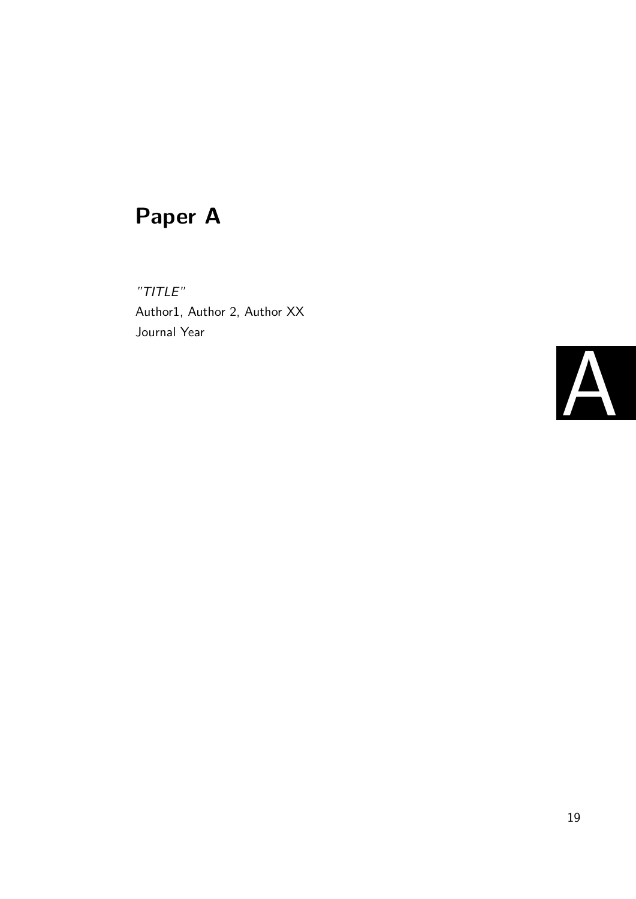# **Paper A**

"TITLE" Author1, Author 2, Author XX Journal Year

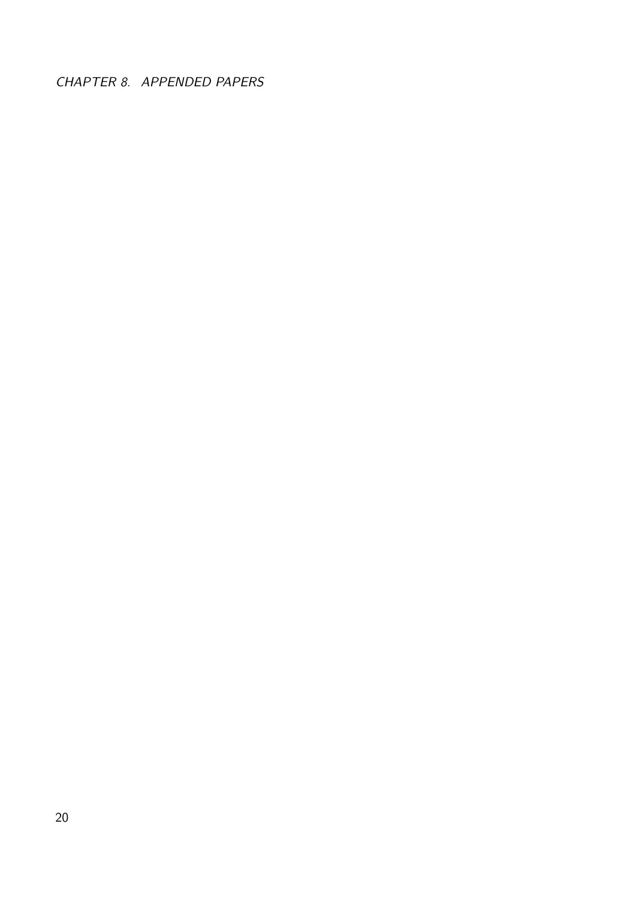CHAPTER 8. APPENDED PAPERS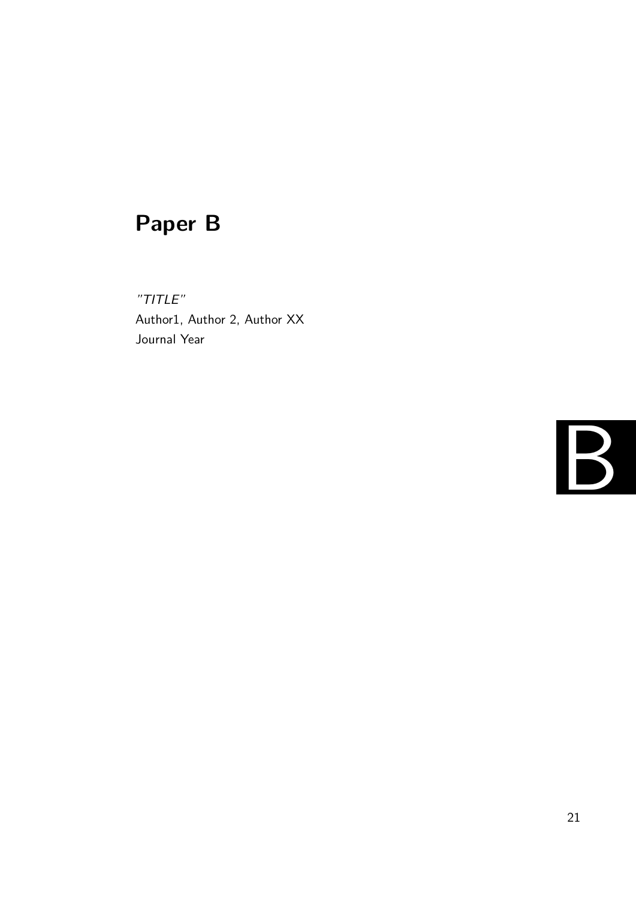# **Paper B**

"TITLE"

Author1, Author 2, Author XX Journal Year

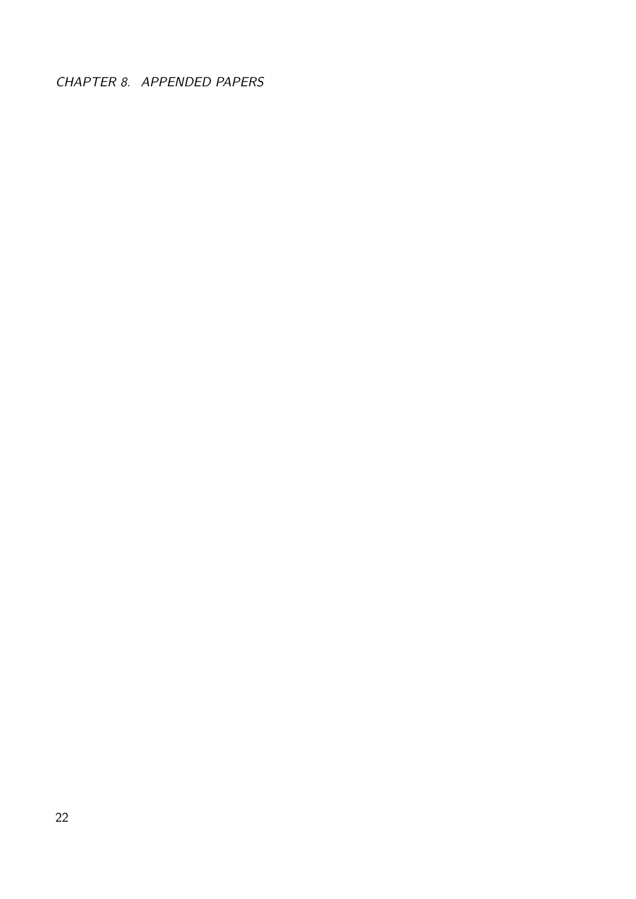CHAPTER 8. APPENDED PAPERS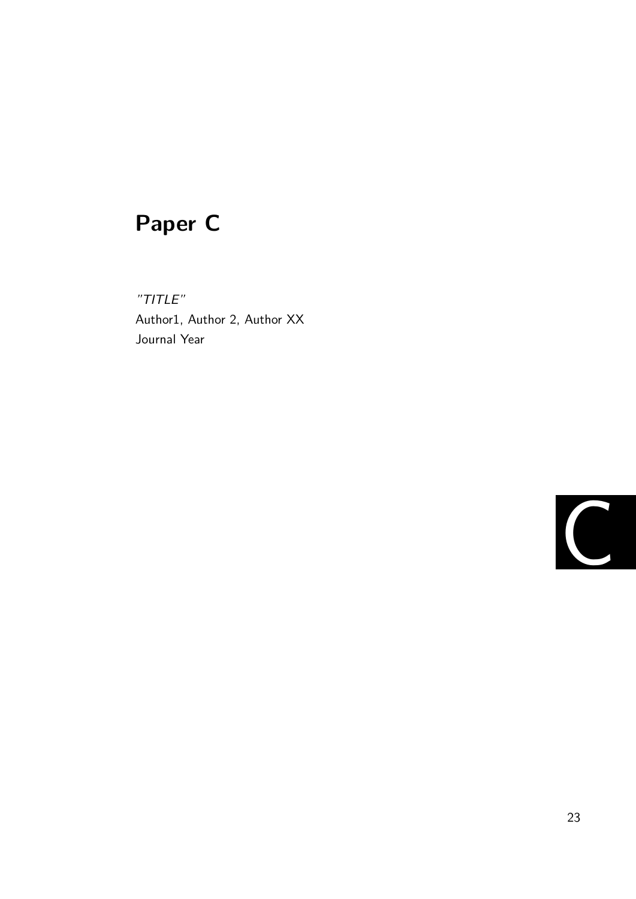# **Paper C**

"TITLE" Author1, Author 2, Author XX Journal Year

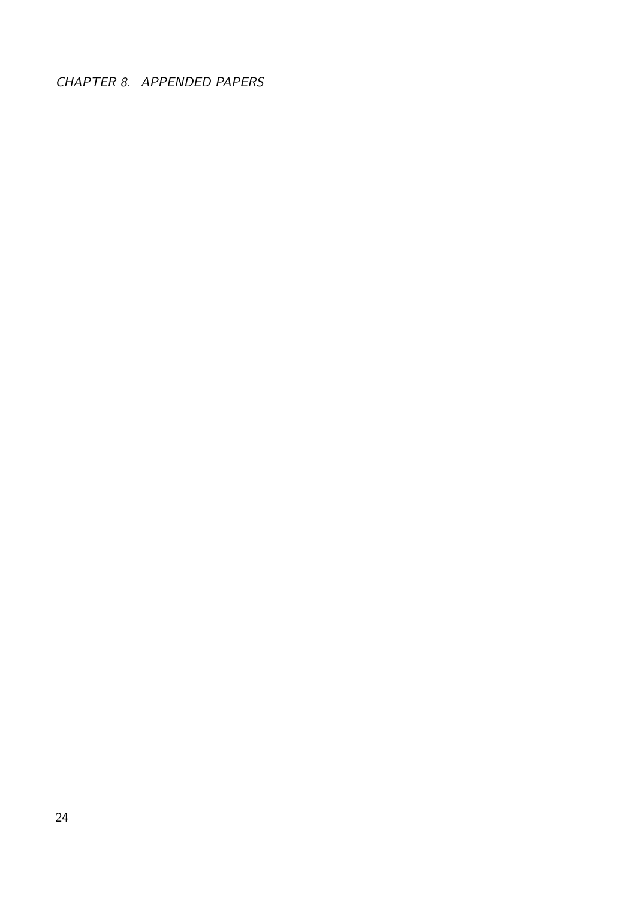CHAPTER 8. APPENDED PAPERS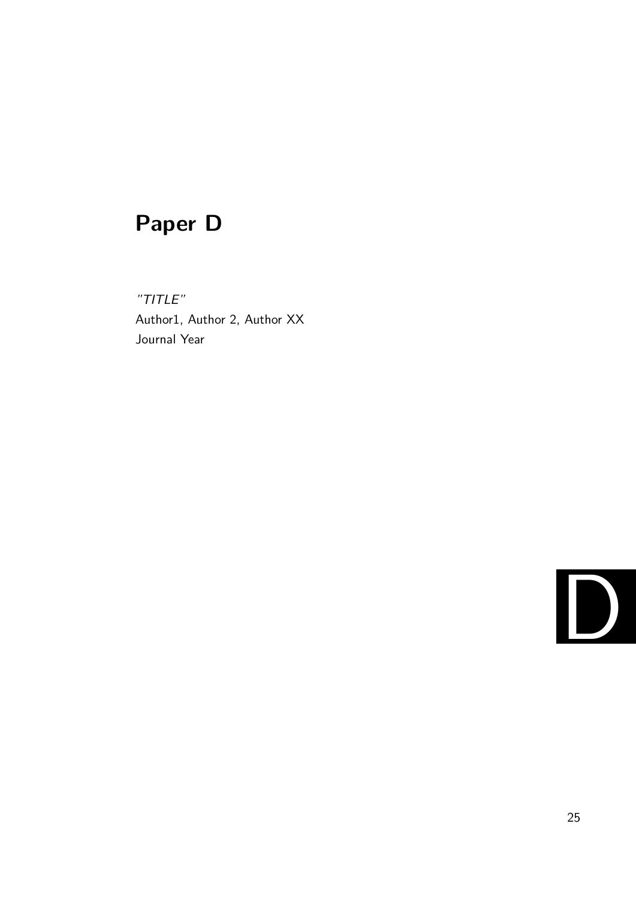# **Paper D**

"TITLE"

Author1, Author 2, Author XX Journal Year

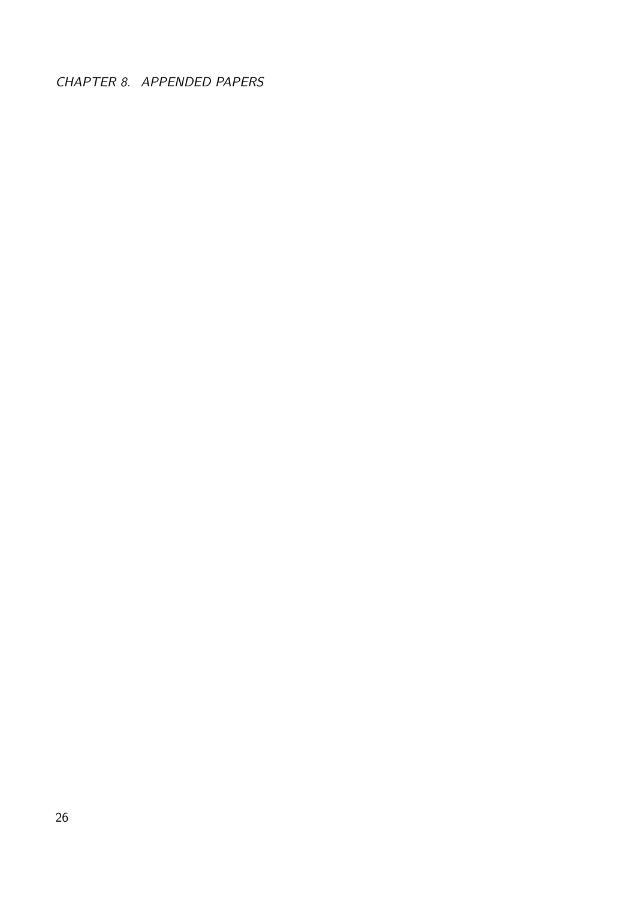CHAPTER 8. APPENDED PAPERS